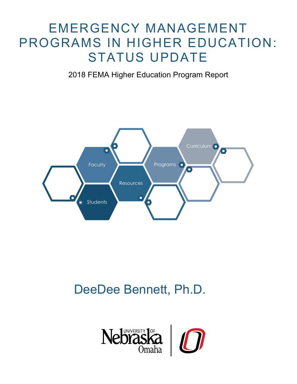# EMERGENCY MANAGEMENT PROGRAMS IN HIGHER EDUCATION: STATUS UPDATE

2018 FEMA Higher Education Program Report



# DeeDee Bennett, Ph.D.

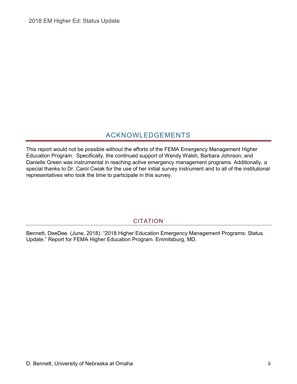# ACKNOWLEDGEMENTS

<span id="page-1-0"></span>This report would not be possible without the efforts of the FEMA Emergency Management Higher Education Program. Specifically, the continued support of Wendy Walsh, Barbara Johnson, and Danielle Green was instrumental in reaching active emergency management programs. Additionally, a special thanks to Dr. Carol Cwiak for the use of her initial survey instrument and to all of the institutional representatives who took the time to participate in this survey.

## CITATION

<span id="page-1-1"></span>Bennett, DeeDee. (June, 2018). "2018 Higher Education Emergency Management Programs: Status Update." Report for FEMA Higher Education Program. Emmitsburg, MD.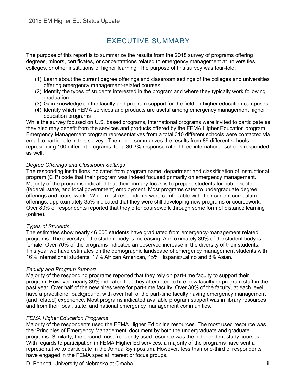# EXECUTIVE SUMMARY

<span id="page-2-0"></span>The purpose of this report is to summarize the results from the 2018 survey of programs offering degrees, minors, certificates, or concentrations related to emergency management at universities, colleges, or other institutions of higher learning. The purpose of this survey was four-fold:

- (1) Learn about the current degree offerings and classroom settings of the colleges and universities offering emergency management-related courses
- (2) Identify the types of students interested in the program and where they typically work following graduation
- (3) Gain knowledge on the faculty and program support for the field on higher education campuses
- (4) Identify which FEMA services and products are useful among emergency management higher education programs

While the survey focused on U.S. based programs, international programs were invited to participate as they also may benefit from the services and products offered by the FEMA Higher Education program. Emergency Management program representatives from a total 310 different schools were contacted via email to participate in this survey. The report summarizes the results from 89 different schools representing 100 different programs, for a 30.3% response rate. Three international schools responded, as well.

#### *Degree Offerings and Classroom Settings*

The responding institutions indicated from program name, department and classification of instructional program (CIP) code that their program was indeed focused primarily on emergency management. Majority of the programs indicated that their primary focus is to prepare students for public sector (federal, state, and local government) employment. Most programs cater to undergraduate degree offerings and coursework. While most respondents were comfortable with their current curriculum offerings, approximately 35% indicated that they were still developing new programs or coursework. Over 80% of respondents reported that they offer coursework through some form of distance learning (online).

#### *Types of Students*

The estimates show nearly 46,000 students have graduated from emergency-management related programs. The diversity of the student body is increasing. Approximately 39% of the student body is female. Over 70% of the programs indicated an observed increase in the diversity of their students. This year we have estimates on the demographic landscape of emergency management students with 16% International students, 17% African American, 15% Hispanic/Latino and 8% Asian.

#### *Faculty and Program Support*

Majority of the responding programs reported that they rely on part-time faculty to support their program. However, nearly 39% indicated that they attempted to hire new faculty or program staff in the past year. Over half of the new hires were for part-time faculty. Over 30% of the faculty, at each level, have a practitioner background, with over half of the part-time faculty having emergency management (and related) experience. Most programs indicated available program support was in library resources and from their local, state, and national emergency management communities.

#### *FEMA Higher Education Programs*

Majority of the respondents used the FEMA Higher Ed online resources. The most used resource was the 'Principles of Emergency Management' document by both the undergraduate and graduate programs. Similarly, the second most frequently used resource was the independent study courses. With regards to participation in FEMA Higher Ed services, a majority of the programs have sent a representative to participate in the Annual Symposium. However, less than one-third of respondents have engaged in the FEMA special interest or focus groups.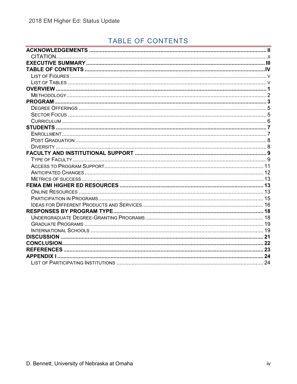# <span id="page-3-0"></span>TABLE OF CONTENTS

| CITATION. |  |
|-----------|--|
|           |  |
|           |  |
|           |  |
|           |  |
|           |  |
|           |  |
|           |  |
|           |  |
|           |  |
|           |  |
|           |  |
|           |  |
|           |  |
|           |  |
|           |  |
|           |  |
|           |  |
|           |  |
|           |  |
|           |  |
|           |  |
|           |  |
|           |  |
|           |  |
|           |  |
|           |  |
|           |  |
|           |  |
|           |  |
|           |  |
|           |  |
|           |  |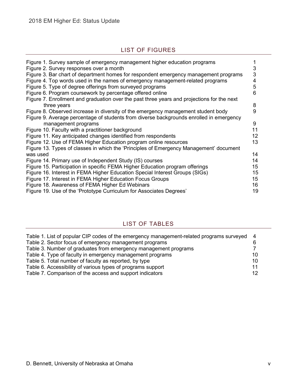## LIST OF FIGURES

<span id="page-4-0"></span>

| Figure 1. Survey sample of emergency management higher education programs<br>Figure 2. Survey responses over a month                                                   | 3      |
|------------------------------------------------------------------------------------------------------------------------------------------------------------------------|--------|
| Figure 3. Bar chart of department homes for respondent emergency management programs<br>Figure 4. Top words used in the names of emergency management-related programs | 3<br>4 |
| Figure 5. Type of degree offerings from surveyed programs                                                                                                              | 5      |
| Figure 6. Program coursework by percentage offered online                                                                                                              | 6      |
| Figure 7. Enrollment and graduation over the past three years and projections for the next<br>three years                                                              | 8      |
| Figure 8. Observed increase in diversity of the emergency management student body                                                                                      | 9      |
| Figure 9. Average percentage of students from diverse backgrounds enrolled in emergency                                                                                |        |
| management programs                                                                                                                                                    | 9      |
| Figure 10. Faculty with a practitioner background                                                                                                                      | 11     |
| Figure 11. Key anticipated changes identified from respondents                                                                                                         | 12     |
| Figure 12. Use of FEMA Higher Education program online resources                                                                                                       | 13     |
| Figure 13. Types of classes in which the 'Principles of Emergency Management' document                                                                                 |        |
| was used                                                                                                                                                               | 14     |
| Figure 14. Primary use of Independent Study (IS) courses                                                                                                               | 14     |
| Figure 15. Participation in specific FEMA Higher Education program offerings                                                                                           | 15     |
| Figure 16. Interest in FEMA Higher Education Special Interest Groups (SIGs)                                                                                            | 15     |
| Figure 17. Interest in FEMA Higher Education Focus Groups                                                                                                              | 15     |
| Figure 18. Awareness of FEMA Higher Ed Webinars                                                                                                                        | 16     |
| Figure 19. Use of the 'Prototype Curriculum for Associates Degrees'                                                                                                    | 19     |

## LIST OF TABLES

<span id="page-4-1"></span>

| Table 1. List of popular CIP codes of the emergency management-related programs surveyed 4 |    |
|--------------------------------------------------------------------------------------------|----|
| Table 2. Sector focus of emergency management programs                                     |    |
| Table 3. Number of graduates from emergency management programs                            |    |
| Table 4. Type of faculty in emergency management programs                                  | 10 |
| Table 5. Total number of faculty as reported, by type                                      | 10 |
| Table 6. Accessibility of various types of programs support                                | 11 |
| Table 7. Comparison of the access and support indicators                                   | 12 |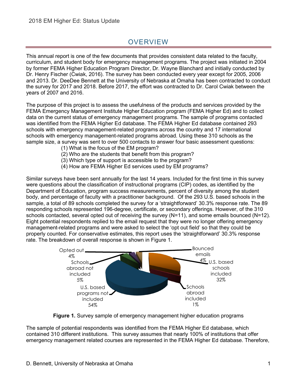# **OVERVIEW**

<span id="page-5-0"></span>This annual report is one of the few documents that provides consistent data related to the faculty, curriculum, and student body for emergency management programs. The project was initiated in 2004 by former FEMA Higher Education Program Director, Dr. Wayne Blanchard and initially conducted by Dr. Henry Fischer (Cwiak, 2016). The survey has been conducted every year except for 2005, 2006 and 2013. Dr. DeeDee Bennett at the University of Nebraska at Omaha has been contracted to conduct the survey for 2017 and 2018. Before 2017, the effort was contracted to Dr. Carol Cwiak between the years of 2007 and 2016.

The purpose of this project is to assess the usefulness of the products and services provided by the FEMA Emergency Management Institute Higher Education program (FEMA Higher Ed) and to collect data on the current status of emergency management programs. The sample of programs contacted was identified from the FEMA Higher Ed database. The FEMA Higher Ed database contained 293 schools with emergency management-related programs across the country and 17 international schools with emergency management-related programs abroad. Using these 310 schools as the sample size, a survey was sent to over 500 contacts to answer four basic assessment questions:

- (1) What is the focus of the EM program?
- (2) Who are the students that benefit from this program?
- (3) Which type of support is accessible to the program?
- (4) How are FEMA Higher Ed services used by EM programs?

Similar surveys have been sent annually for the last 14 years. Included for the first time in this survey were questions about the classification of instructional programs (CIP) codes, as identified by the Department of Education, program success measurements, percent of diversity among the student body, and percentage of faculty with a practitioner background. Of the 293 U.S. based schools in the sample, a total of 89 schools completed the survey for a 'straightforward' 30.3% response rate. The 89 responding schools represented 196-degree, certificate, or secondary offerings. However, of the 310 schools contacted, several opted out of receiving the survey (N=11), and some emails bounced (N=12). Eight potential respondents replied to the email request that they were no longer offering emergency management-related programs and were asked to select the 'opt out field' so that they could be properly counted. For conservative estimates, this report uses the 'straightforward' 30.3% response rate. The breakdown of overall response is shown in Figure 1.



**Figure 1.** Survey sample of emergency management higher education programs

The sample of potential respondents was identified from the FEMA Higher Ed database, which contained 310 different institutions. This survey assumes that nearly 100% of institutions that offer emergency management related courses are represented in the FEMA Higher Ed database. Therefore,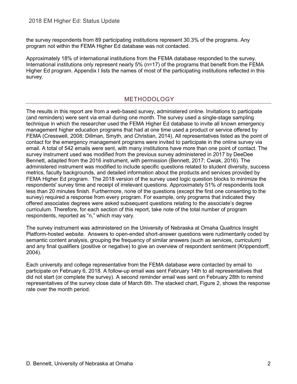the survey respondents from 89 participating institutions represent 30.3% of the programs. Any program not within the FEMA Higher Ed database was not contacted.

Approximately 18% of international institutions from the FEMA database responded to the survey. International institutions only represent nearly 5% (n=17) of the programs that benefit from the FEMA Higher Ed program. Appendix I lists the names of most of the participating institutions reflected in this survey.

### <span id="page-6-0"></span>METHODOLOGY

The results in this report are from a web-based survey, administered online. Invitations to participate (and reminders) were sent via email during one month. The survey used a single-stage sampling technique in which the researcher used the FEMA Higher Ed database to invite all known emergency management higher education programs that had at one time used a product or service offered by FEMA (Cresswell, 2008; Dillman, Smyth, and Christian, 2014). All representatives listed as the point of contact for the emergency management programs were invited to participate in the online survey via email. A total of 542 emails were sent, with many institutions have more than one point of contact. The survey instrument used was modified from the previous survey administered in 2017 by DeeDee Bennett, adapted from the 2016 instrument, with permission (Bennett, 2017; Cwiak, 2016). The administered instrument was modified to include specific questions related to student diversity, success metrics, faculty backgrounds, and detailed information about the products and services provided by FEMA Higher Ed program. The 2018 version of the survey used logic question blocks to minimize the respondents' survey time and receipt of irrelevant questions. Approximately 51% of respondents took less than 20 minutes finish. Furthermore, none of the questions (except the first one consenting to the survey) required a response from every program. For example, only programs that indicated they offered associates degrees were asked subsequent questions relating to the associate's degree curriculum. Therefore, for each section of this report, take note of the total number of program respondents, reported as "n," which may vary.

The survey instrument was administered on the University of Nebraska at Omaha Qualtrics Insight Platform-hosted website. Answers to open-ended short-answer questions were rudimentarily coded by semantic content analysis, grouping the frequency of similar answers (such as services, curriculum) and any final qualifiers (positive or negative) to give an overview of respondent sentiment (Krippendorff, 2004).

Each university and college representative from the FEMA database were contacted by email to participate on February 6, 2018. A follow-up email was sent February 14th to all representatives that did not start (or complete the survey). A second reminder email was sent on February 28th to remind representatives of the survey close date of March 6th. The stacked chart, Figure 2, shows the response rate over the month period.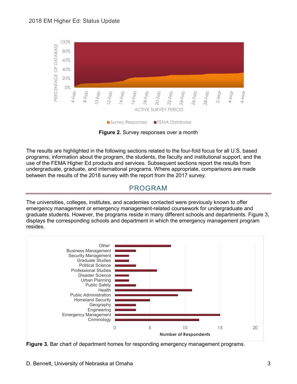

**Figure 2.** Survey responses over a month

The results are highlighted in the following sections related to the four-fold focus for all U.S. based programs; information about the program, the students, the faculty and institutional support, and the use of the FEMA Higher Ed products and services. Subsequent sections report the results from undergraduate, graduate, and international programs. Where appropriate, comparisons are made between the results of the 2018 survey with the report from the 2017 survey.

## <span id="page-7-0"></span>PROGRAM

The universities, colleges, institutes, and academies contacted were previously known to offer emergency management or emergency management-related coursework for undergraduate and graduate students. However, the programs reside in many different schools and departments. Figure 3, displays the corresponding schools and department in which the emergency management program resides.



**Figure 3.** Bar chart of department homes for responding emergency management programs.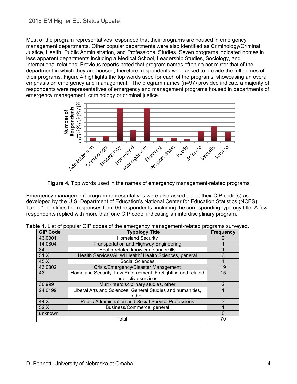Most of the program representatives responded that their programs are housed in emergency management departments. Other popular departments were also identified as Criminology/Criminal Justice, Health, Public Administration, and Professional Studies. Seven programs indicated homes in less apparent departments including a Medical School, Leadership Studies, Sociology, and International relations. Previous reports noted that program names often do not mirror that of the department in which they are housed; therefore, respondents were asked to provide the full names of their programs. Figure 4 highlights the top words used for each of the programs, showcasing an overall emphasis on emergency and management. The program names (n=97) provided indicate a majority of respondents were representatives of emergency and management programs housed in departments of emergency management, criminology or criminal justice.



**Figure 4.** Top words used in the names of emergency management-related programs

Emergency management program representatives were also asked about their CIP code(s) as developed by the U.S. Department of Education's National Center for Education Statistics (NCES). Table 1 identifies the responses from 66 respondents, including the corresponding typology title. A few respondents replied with more than one CIP code, indicating an interdisciplinary program.

| <b>CIP Code</b> | <b>Typology Title</b>                                        | <b>Frequency</b> |
|-----------------|--------------------------------------------------------------|------------------|
| 43.0301         | <b>Homeland Security</b>                                     |                  |
| 14.0804         | <b>Transportation and Highway Engineering</b>                |                  |
| 34              | Health-related knowledge and skills                          |                  |
| 51.X            | Health Services/Allied Health/ Health Sciences, general      | 6                |
| 45.X            | Social Sciences                                              | 4                |
| 43.0302         | Crisis/Emergency/Disaster Management                         | 19               |
| 43              | Homeland Security, Law Enforcement, Firefighting and related | 15               |
|                 | protective services                                          |                  |
| 30.999          | Multi-Interdisciplinary studies, other                       | $\mathcal{P}$    |
| 24.0199         | Liberal Arts and Sciences, General Studies and humanities,   |                  |
|                 | other                                                        |                  |
| 44.X            | <b>Public Administration and Social Service Professions</b>  | 3                |
| 52.X            | Business/Commerce, general                                   |                  |
| unknown         |                                                              | 8                |
|                 | Total                                                        | 70               |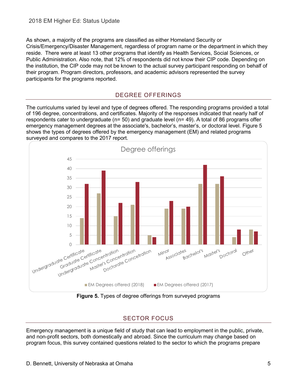<span id="page-9-0"></span>As shown, a majority of the programs are classified as either Homeland Security or Crisis/Emergency/Disaster Management, regardless of program name or the department in which they reside. There were at least 13 other programs that identify as Health Services, Social Sciences, or Public Administration. Also note, that 12% of respondents did not know their CIP code. Depending on the institution, the CIP code may not be known to the actual survey participant responding on behalf of their program. Program directors, professors, and academic advisors represented the survey participants for the programs reported.

#### DEGREE OFFERINGS

The curriculums varied by level and type of degrees offered. The responding programs provided a total of 196 degree, concentrations, and certificates. Majority of the responses indicated that nearly half of respondents cater to undergraduate (n= 50) and graduate level (n= 49). A total of 86 programs offer emergency management degrees at the associate's, bachelor's, master's, or doctoral level. Figure 5 shows the types of degrees offered by the emergency management (EM) and related programs surveyed and compares to the 2017 report.



**Figure 5.** Types of degree offerings from surveyed programs

## SECTOR FOCUS

<span id="page-9-1"></span>Emergency management is a unique field of study that can lead to employment in the public, private, and non-profit sectors, both domestically and abroad. Since the curriculum may change based on program focus, this survey contained questions related to the sector to which the programs prepare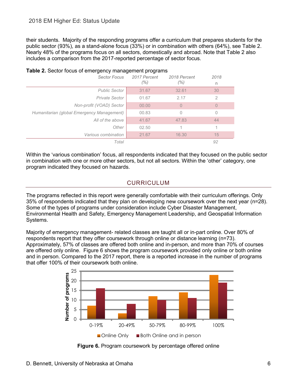their students. Majority of the responding programs offer a curriculum that prepares students for the public sector (93%), as a stand-alone focus (33%) or in combination with others (64%), see Table 2. Nearly 48% of the programs focus on all sectors, domestically and abroad. Note that Table 2 also includes a comparison from the 2017-reported percentage of sector focus.

| <b>Sector Focus</b>                        | 2017 Percent<br>$(\% )$ | 2018 Percent<br>$(\% )$ | 2018<br>n |  |
|--------------------------------------------|-------------------------|-------------------------|-----------|--|
| <b>Public Sector</b>                       | 31.67                   | 32.61                   | 30        |  |
| Private Sector                             | 01.67                   | 2.17                    | 2         |  |
| Non-profit (VOAD) Sector                   | 00.00                   | $\overline{0}$          | 0         |  |
| Humanitarian (global Emergency Management) | 00.83                   | 0                       | 0         |  |
| All of the above                           | 41.67                   | 47.83                   | 44        |  |
| Other                                      | 02.50                   | 1                       | 1         |  |
| Various combination                        | 21.67                   | 16.30                   | 15        |  |
| Total                                      |                         |                         | 92        |  |

#### **Table 2.** Sector focus of emergency management programs

<span id="page-10-0"></span>Within the 'various combination' focus, all respondents indicated that they focused on the public sector in combination with one or more other sectors, but not all sectors. Within the 'other' category, one program indicated they focused on hazards.

## CURRICULUM

The programs reflected in this report were generally comfortable with their curriculum offerings. Only 35% of respondents indicated that they plan on developing new coursework over the next year (n=28). Some of the types of programs under consideration include Cyber Disaster Management, Environmental Health and Safety, Emergency Management Leadership, and Geospatial Information Systems.

Majority of emergency management- related classes are taught all or in-part online. Over 80% of respondents report that they offer coursework through online or distance learning (n=73). Approximately, 57% of classes are offered both online and in-person, and more than 70% of courses are offered only online. Figure 6 shows the program coursework provided only online or both online and in person. Compared to the 2017 report, there is a reported increase in the number of programs that offer 100% of their coursework both online.



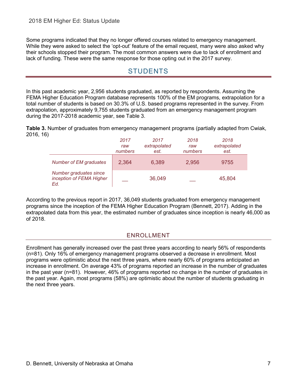<span id="page-11-0"></span>Some programs indicated that they no longer offered courses related to emergency management. While they were asked to select the 'opt-out' feature of the email request, many were also asked why their schools stopped their program. The most common answers were due to lack of enrollment and lack of funding. These were the same response for those opting out in the 2017 survey.

# STUDENTS

In this past academic year, 2,956 students graduated, as reported by respondents. Assuming the FEMA Higher Education Program database represents 100% of the EM programs, extrapolation for a total number of students is based on 30.3% of U.S. based programs represented in the survey. From extrapolation, approximately 9,755 students graduated from an emergency management program during the 2017-2018 academic year, see Table 3.

**Table 3.** Number of graduates from emergency management programs (partially adapted from Cwiak, 2016, 16)

|                                                           | 2017<br>raw<br>numbers | 2017<br>extrapolated<br>est. | 2018<br>raw<br>numbers | 2018<br>extrapolated<br>est. |
|-----------------------------------------------------------|------------------------|------------------------------|------------------------|------------------------------|
| Number of EM graduates                                    | 2,364                  | 6,389                        | 2,956                  | 9755                         |
| Number graduates since<br>inception of FEMA Higher<br>Ed. |                        | 36,049                       |                        | 45,804                       |

<span id="page-11-1"></span>According to the previous report in 2017, 36,049 students graduated from emergency management programs since the inception of the FEMA Higher Education Program (Bennett, 2017). Adding in the extrapolated data from this year, the estimated number of graduates since inception is nearly 46,000 as of 2018.

## ENROLLMENT

Enrollment has generally increased over the past three years according to nearly 56% of respondents (n=81). Only 16% of emergency management programs observed a decrease in enrollment. Most programs were optimistic about the next three years, where nearly 60% of programs anticipated an increase in enrollment. On average 43% of programs reported an increase in the number of graduates in the past year (n=81). However, 46% of programs reported no change in the number of graduates in the past year. Again, most programs (58%) are optimistic about the number of students graduating in the next three years.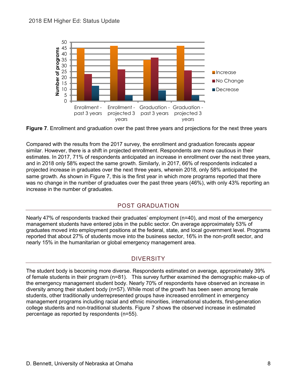

<span id="page-12-0"></span>

Compared with the results from the 2017 survey, the enrollment and graduation forecasts appear similar. However, there is a shift in projected enrollment. Respondents are more cautious in their estimates. In 2017, 71% of respondents anticipated an increase in enrollment over the next three years, and in 2018 only 58% expect the same growth. Similarly, in 2017, 66% of respondents indicated a projected increase in graduates over the next three years, wherein 2018, only 58% anticipated the same growth. As shown in Figure 7, this is the first year in which more programs reported that there was no change in the number of graduates over the past three years (46%), with only 43% reporting an increase in the number of graduates.

## POST GRADUATION

Nearly 47% of respondents tracked their graduates' employment (n=40), and most of the emergency management students have entered jobs in the public sector. On average approximately 53% of graduates moved into employment positions at the federal, state, and local government level. Programs reported that about 27% of students move into the business sector, 16% in the non-profit sector, and nearly 15% in the humanitarian or global emergency management area.

## **DIVERSITY**

<span id="page-12-1"></span>The student body is becoming more diverse. Respondents estimated on average, approximately 39% of female students in their program (n=81). This survey further examined the demographic make-up of the emergency management student body. Nearly 70% of respondents have observed an increase in diversity among their student body (n=57). While most of the growth has been seen among female students, other traditionally underrepresented groups have increased enrollment in emergency management programs including racial and ethnic minorities, international students, first-generation college students and non-traditional students. Figure 7 shows the observed increase in estimated percentage as reported by respondents (n=55).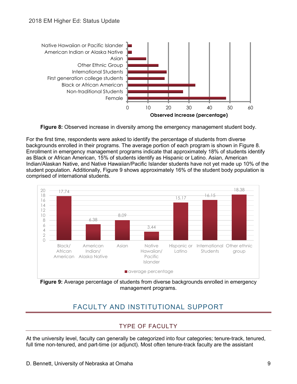

**Figure 8:** Observed increase in diversity among the emergency management student body.

For the first time, respondents were asked to identify the percentage of students from diverse backgrounds enrolled in their programs. The average portion of each program is shown in Figure 8. Enrollment in emergency management programs indicate that approximately 18% of students identify as Black or African American, 15% of students identify as Hispanic or Latino. Asian, American Indian/Alaskan Native, and Native Hawaiian/Pacific Islander students have not yet made up 10% of the student population. Additionally, Figure 9 shows approximately 16% of the student body population is comprised of international students.



<span id="page-13-0"></span>**Figure 9:** Average percentage of students from diverse backgrounds enrolled in emergency management programs.

# FACULTY AND INSTITUTIONAL SUPPORT

## TYPE OF FACULTY

<span id="page-13-1"></span>At the university level, faculty can generally be categorized into four categories; tenure-track, tenured, full time non-tenured, and part-time (or adjunct). Most often tenure-track faculty are the assistant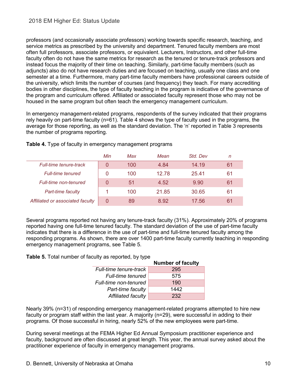professors (and occasionally associate professors) working towards specific research, teaching, and service metrics as prescribed by the university and department. Tenured faculty members are most often full professors, associate professors, or equivalent. Lecturers, Instructors, and other full-time faculty often do not have the same metrics for research as the tenured or tenure-track professors and instead focus the majority of their time on teaching. Similarly, part-time faculty members (such as adjuncts) also do not have research duties and are focused on teaching, usually one class and one semester at a time. Furthermore, many part-time faculty members have professional careers outside of the university, which limits the number of courses (and frequency) they teach. For many accrediting bodies in other disciplines, the type of faculty teaching in the program is indicative of the governance of the program and curriculum offered. Affiliated or associated faculty represent those who may not be housed in the same program but often teach the emergency management curriculum.

In emergency management-related programs, respondents of the survey indicated that their programs rely heavily on part-time faculty (n=61). Table 4 shows the type of faculty used in the programs, the average for those reporting, as well as the standard deviation. The 'n' reported in Table 3 represents the number of programs reporting.

|                                  | Min | Max | Mean  | Std. Dev | n  |
|----------------------------------|-----|-----|-------|----------|----|
| <b>Full-time tenure-track</b>    |     | 100 | 4.84  | 14.19    | 61 |
| <b>Full-time tenured</b>         |     | 100 | 12.78 | 25.41    | 61 |
| <b>Full-time non-tenured</b>     | 0   | 51  | 4.52  | 9.90     | 61 |
| Part-time faculty                |     | 100 | 21.85 | 30.65    | 61 |
| Affiliated or associated faculty | 0   | 89  | 8.92  | 17.56    | 61 |

**Table 4.** Type of faculty in emergency management programs

Several programs reported not having any tenure-track faculty (31%). Approximately 20% of programs reported having one full-time tenured faculty. The standard deviation of the use of part-time faculty indicates that there is a difference in the use of part-time and full-time tenured faculty among the responding programs. As shown, there are over 1400 part-time faculty currently teaching in responding emergency management programs, see Table 5.

**Table 5.** Total number of faculty as reported, by type

|                          | <b>Number of faculty</b> |
|--------------------------|--------------------------|
| Full-time tenure-track   | 295                      |
| <b>Full-time tenured</b> | 575                      |
| Full-time non-tenured    | 190                      |
| Part-time faculty        | 1442                     |
| Affiliated faculty       | 232                      |

Nearly 39% (n=31) of responding emergency management-related programs attempted to hire new faculty or program staff within the last year. A majority (n=29), were successful in adding to their programs. Of those successful in hiring, nearly 52% of the new employees were part-time.

During several meetings at the FEMA Higher Ed Annual Symposium practitioner experience and faculty, background are often discussed at great length. This year, the annual survey asked about the practitioner experience of faculty in emergency management programs.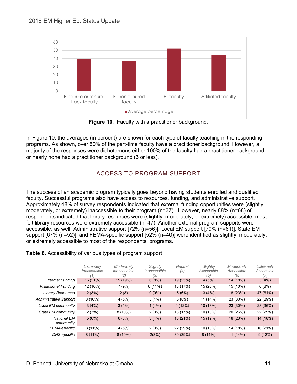#### 2018 EM Higher Ed: Status Update



**Figure 10.** Faculty with a practitioner background.

<span id="page-15-0"></span>In Figure 10, the averages (in percent) are shown for each type of faculty teaching in the responding programs. As shown, over 50% of the part-time faculty have a practitioner background. However, a majority of the responses were dichotomous either 100% of the faculty had a practitioner background, or nearly none had a practitioner background (3 or less).

## ACCESS TO PROGRAM SUPPORT

The success of an academic program typically goes beyond having students enrolled and qualified faculty. Successful programs also have access to resources, funding, and administrative support. Approximately 48% of survey respondents indicated that external funding opportunities were (slightly, moderately, or extremely) inaccessible to their program (n=37). However, nearly 88% (n=68) of respondents indicated that library resources were (slightly, moderately, or extremely) accessible, most felt library resources were extremely accessible (n=47). Another external program supports were accessible, as well. Administrative support [72% (n=56)], Local EM support [79% (n=61)], State EM support [67% (n=52)], and FEMA-specific support [52% (n=40)] were identified as slightly, moderately, or extremely accessible to most of the respondents' programs.

#### **Table 6.** Accessibility of various types of program support

|                                 | Extremely<br>Inaccessible<br>11 | Moderately<br>Inaccessible<br>(2) | Slightly<br>Inaccessible<br>(3) | <b>Neutral</b><br>(4) | Slightly<br>Accessible<br>(5) | Moderately<br>Accessible<br>(6) | Extremelv<br>Accessible<br>71 |
|---------------------------------|---------------------------------|-----------------------------------|---------------------------------|-----------------------|-------------------------------|---------------------------------|-------------------------------|
| <b>External Funding</b>         | 16 (21%)                        | 15 (19%)                          | 6(8%)                           | 19 (25%)              | 4(5%)                         | 14 (18%)                        | 3(4%)                         |
| <b>Institutional Funding</b>    | 12 (16%)                        | 7(9%)                             | $8(11\%)$                       | 13 (17%)              | 15 (20%)                      | 15 (10%)                        | 6(8%)                         |
| <b>Library Resources</b>        | 2(3%)                           | 2(3)                              | $0(0\%)$                        | 5(6%)                 | 3(4%)                         | 18 (23%)                        | 47 (61%)                      |
| <b>Administrative Support</b>   | 8(10%)                          | 4(5%)                             | 3(4%)                           | 6(8%)                 | 11 (14%)                      | 23 (30%)                        | 22 (29%)                      |
| Local EM community              | 3(4%)                           | 3(4%)                             | $1(1\%)$                        | 9(12%)                | 10 (13%)                      | 23 (30%)                        | 28 (36%)                      |
| State EM community              | 2(3%)                           | $8(10\%)$                         | 2(3%)                           | 13 (17%)              | 10 (13%)                      | 20 (26%)                        | 22 (29%)                      |
| <b>National EM</b><br>community | 5(6%)                           | 6(8%)                             | 3(4%)                           | 16(21%)               | 15 (19%)                      | 18 (23%)                        | 14 (18%)                      |
| FEMA-specific                   | $8(11\%)$                       | 4(5%)                             | 2(3%)                           | 22 (29%)              | 10 (13%)                      | 14 (18%)                        | 16 (21%)                      |
| DHS-specific                    | $8(11\%)$                       | $8(10\%)$                         | 2(3%)                           | 30 (39%)              | $8(11\%)$                     | $11(14\%)$                      | 9(12%)                        |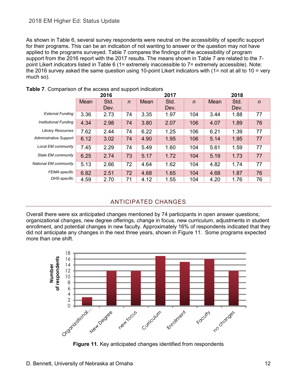#### 2018 EM Higher Ed: Status Update

As shown in Table 6, several survey respondents were neutral on the accessibility of specific support for their programs. This can be an indication of not wanting to answer or the question may not have applied to the programs surveyed. Table 7 compares the findings of the accessibility of program support from the 2016 report with the 2017 results. The means shown in Table 7 are related to the 7 point Likert indicators listed in Table 6 (1= extremely inaccessible to 7= extremely accessible). Note: the 2016 survey asked the same question using 10-point Likert indicators with (1= not at all to 10 = very much so).

|                              | 2016        |      |              | 2017 |      |              | 2018 |      |                |
|------------------------------|-------------|------|--------------|------|------|--------------|------|------|----------------|
|                              | <b>Mean</b> | Std. | $\mathsf{n}$ | Mean | Std. | $\mathsf{n}$ | Mean | Std. | $\overline{n}$ |
|                              |             | Dev. |              |      | Dev. |              |      | Dev. |                |
| <b>External Funding</b>      | 3.36        | 2.73 | 74           | 3.35 | 1.97 | 104          | 3.44 | 1.88 | 77             |
| <b>Institutional Funding</b> | 4.34        | 2.98 | 74           | 3.80 | 2.07 | 106          | 4.07 | 1.89 | 76             |
| <b>Library Resources</b>     | 7.62        | 2.44 | 74           | 6.22 | 1.25 | 106          | 6.21 | 1.39 | 77             |
| Administrative Support       | 6.12        | 3.02 | 74           | 4.90 | 1.95 | 106          | 5.14 | 1.95 | 77             |
| Local EM community           | 7.45        | 2.29 | 74           | 5.49 | 1.60 | 104          | 5.61 | 1.59 | 77             |
| State EM community           | 6.25        | 2.74 | 73           | 5.17 | 1.72 | 104          | 5.19 | 1.73 | 77             |
| National EM community        | 5.13        | 2.66 | 72           | 4.64 | 1.62 | 104          | 4.82 | 1.74 | 77             |
| <b>FEMA-specific</b>         | 6.82        | 2.51 | 72           | 4.68 | 1.65 | 104          | 4.68 | 1.87 | 76             |
| DHS-specific                 | 4.59        | 2.70 | 71           | 4.12 | 1.55 | 104          | 4.20 | 1.76 | 76             |

#### **Table 7**. Comparison of the access and support indicators

#### ANTICIPATED CHANGES

<span id="page-16-0"></span>Overall there were six anticipated changes mentioned by 74 participants in open answer questions; organizational changes, new degree offerings, change in focus, new curriculum, adjustments in student enrollment, and potential changes in new faculty. Approximately 16% of respondents indicated that they did not anticipate any changes in the next three years, shown in Figure 11. Some programs expected more than one shift.



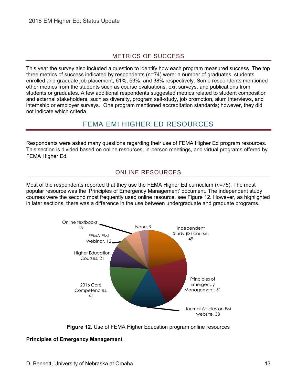## METRICS OF SUCCESS

<span id="page-17-0"></span>This year the survey also included a question to identify how each program measured success. The top three metrics of success indicated by respondents (n=74) were: a number of graduates, students enrolled and graduate job placement, 61%, 53%, and 38% respectively. Some respondents mentioned other metrics from the students such as course evaluations, exit surveys, and publications from students or graduates. A few additional respondents suggested metrics related to student composition and external stakeholders, such as diversity, program self-study, job promotion, alum interviews, and internship or employer surveys. One program mentioned accreditation standards; however, they did not indicate which criteria.

## FEMA EMI HIGHER ED RESOURCES

<span id="page-17-2"></span><span id="page-17-1"></span>Respondents were asked many questions regarding their use of FEMA Higher Ed program resources. This section is divided based on online resources, in-person meetings, and virtual programs offered by FEMA Higher Ed.

### ONLINE RESOURCES

Most of the respondents reported that they use the FEMA Higher Ed curriculum (*n*=75). The most popular resource was the 'Principles of Emergency Management' document. The independent study courses were the second most frequently used online resource, see Figure 12. However, as highlighted in later sections, there was a difference in the use between undergraduate and graduate programs.



**Figure 12.** Use of FEMA Higher Education program online resources

#### **Principles of Emergency Management**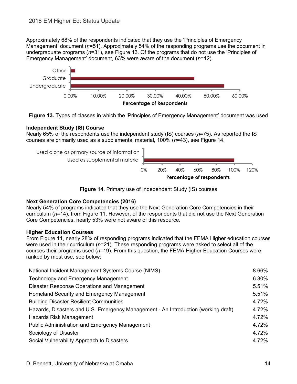Approximately 68% of the respondents indicated that they use the 'Principles of Emergency Management' document (*n*=51). Approximately 54% of the responding programs use the document in undergraduate programs (*n*=31), see Figure 13. Of the programs that do not use the 'Principles of Emergency Management' document, 63% were aware of the document (*n*=12).



**Figure 13.** Types of classes in which the 'Principles of Emergency Management' document was used

#### **Independent Study (IS) Course**

Nearly 65% of the respondents use the independent study (IS) courses (*n*=75). As reported the IS courses are primarily used as a supplemental material, 100% (*n*=43), see Figure 14.



**Figure 14.** Primary use of Independent Study (IS) courses

#### **Next Generation Core Competencies (2016)**

Nearly 54% of programs indicated that they use the Next Generation Core Competencies in their curriculum (*n*=14), from Figure 11. However, of the respondents that did not use the Next Generation Core Competencies, nearly 53% were not aware of this resource.

#### **Higher Education Courses**

From Figure 11, nearly 28% of responding programs indicated that the FEMA Higher education courses were used in their curriculum (*n*=21). These responding programs were asked to select all of the courses their programs used (*n*=19). From this question, the FEMA Higher Education Courses were ranked by most use, see below:

| National Incident Management Systems Course (NIMS)                                 | 8.66% |
|------------------------------------------------------------------------------------|-------|
| <b>Technology and Emergency Management</b>                                         | 6.30% |
| Disaster Response Operations and Management                                        | 5.51% |
| Homeland Security and Emergency Management                                         | 5.51% |
| <b>Building Disaster Resilient Communities</b>                                     | 4.72% |
| Hazards, Disasters and U.S. Emergency Management - An Introduction (working draft) | 4.72% |
| Hazards Risk Management                                                            | 4.72% |
| <b>Public Administration and Emergency Management</b>                              | 4.72% |
| Sociology of Disaster                                                              | 4.72% |
| Social Vulnerability Approach to Disasters                                         | 4.72% |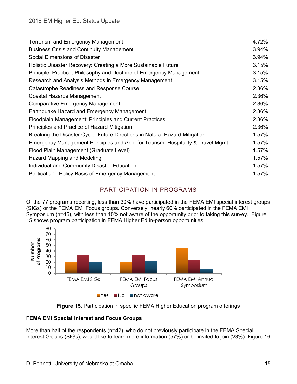| <b>Terrorism and Emergency Management</b>                                        | 4.72% |
|----------------------------------------------------------------------------------|-------|
| <b>Business Crisis and Continuity Management</b>                                 | 3.94% |
| Social Dimensions of Disaster                                                    | 3.94% |
| Holistic Disaster Recovery: Creating a More Sustainable Future                   | 3.15% |
| Principle, Practice, Philosophy and Doctrine of Emergency Management             | 3.15% |
| Research and Analysis Methods in Emergency Management                            | 3.15% |
| Catastrophe Readiness and Response Course                                        | 2.36% |
| Coastal Hazards Management                                                       | 2.36% |
| <b>Comparative Emergency Management</b>                                          | 2.36% |
| Earthquake Hazard and Emergency Management                                       | 2.36% |
| Floodplain Management: Principles and Current Practices                          | 2.36% |
| Principles and Practice of Hazard Mitigation                                     | 2.36% |
| Breaking the Disaster Cycle: Future Directions in Natural Hazard Mitigation      | 1.57% |
| Emergency Management Principles and App. for Tourism, Hospitality & Travel Mgmt. | 1.57% |
| Flood Plain Management (Graduate Level)                                          | 1.57% |
| Hazard Mapping and Modeling                                                      | 1.57% |
| Individual and Community Disaster Education                                      | 1.57% |
| Political and Policy Basis of Emergency Management                               | 1.57% |

## PARTICIPATION IN PROGRAMS

<span id="page-19-0"></span>Of the 77 programs reporting, less than 30% have participated in the FEMA EMI special interest groups (SIGs) or the FEMA EMI Focus groups. Conversely, nearly 60% participated in the FEMA EMI Symposium (n=46), with less than 10% not aware of the opportunity prior to taking this survey. Figure 15 shows program participation in FEMA Higher Ed in-person opportunities.





#### **FEMA EMI Special Interest and Focus Groups**

More than half of the respondents (n=42), who do not previously participate in the FEMA Special Interest Groups (SIGs), would like to learn more information (57%) or be invited to join (23%). Figure 16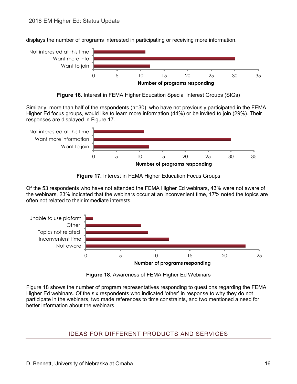

displays the number of programs interested in participating or receiving more information.

**Figure 16.** Interest in FEMA Higher Education Special Interest Groups (SIGs)

Similarly, more than half of the respondents (n=30), who have not previously participated in the FEMA Higher Ed focus groups, would like to learn more information (44%) or be invited to join (29%). Their responses are displayed in Figure 17.



**Figure 17.** Interest in FEMA Higher Education Focus Groups

Of the 53 respondents who have not attended the FEMA Higher Ed webinars, 43% were not aware of the webinars, 23% indicated that the webinars occur at an inconvenient time, 17% noted the topics are often not related to their immediate interests.



**Figure 18.** Awareness of FEMA Higher Ed Webinars

<span id="page-20-0"></span>Figure 18 shows the number of program representatives responding to questions regarding the FEMA Higher Ed webinars. Of the six respondents who indicated 'other' in response to why they do not participate in the webinars, two made references to time constraints, and two mentioned a need for better information about the webinars.

## IDEAS FOR DIFFERENT PRODUCTS AND SERVICES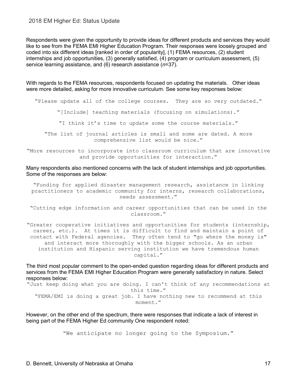#### 2018 EM Higher Ed: Status Update

Respondents were given the opportunity to provide ideas for different products and services they would like to see from the FEMA EMI Higher Education Program. Their responses were loosely grouped and coded into six different ideas [ranked in order of popularity], (1) FEMA resources, (2) student internships and job opportunities, (3) generally satisfied, (4) program or curriculum assessment, (5) service learning assistance, and (6) research assistance (*n*=37).

With regards to the FEMA resources, respondents focused on updating the materials. Other ideas were more detailed, asking for more innovative curriculum. See some key responses below:

"Please update all of the college courses. They are so very outdated."

"[Include] teaching materials (focusing on simulations)."

"I think it's time to update some the course materials."

"The list of journal articles is small and some are dated. A more comprehensive list would be nice."

"More resources to incorporate into classroom curriculum that are innovative and provide opportunities for interaction."

Many respondents also mentioned concerns with the lack of student internships and job opportunities. Some of the responses are below:

"Funding for applied disaster management research, assistance in linking practitioners to academic community for interns, research collaborations, needs assessment."

"Cutting edge information and career opportunities that can be used in the classroom."

"Greater cooperative initiatives and opportunities for students (internship, career, etc.). At times it is difficult to find and maintain a point of contact with Federal agencies. They often tend to "go where the money is" and interact more thoroughly with the bigger schools. As an urban institution and Hispanic serving institution we have tremendous human capital."

The third most popular comment to the open-ended question regarding ideas for different products and services from the FEMA EMI Higher Education Program were generally satisfactory in nature. Select responses below:

"Just keep doing what you are doing. I can't think of any recommendations at this time." "FEMA/EMI is doing a great job. I have nothing new to recommend at this moment."

However, on the other end of the spectrum, there were responses that indicate a lack of interest in being part of the FEMA Higher Ed community One respondent noted:

"We anticipate no longer going to the Symposium."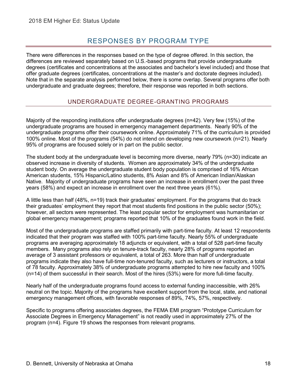## RESPONSES BY PROGRAM TYPE

<span id="page-22-0"></span>There were differences in the responses based on the type of degree offered. In this section, the differences are reviewed separately based on U.S.-based programs that provide undergraduate degrees (certificates and concentrations at the associates and bachelor's level included) and those that offer graduate degrees (certificates, concentrations at the master's and doctorate degrees included). Note that in the separate analysis performed below, there is some overlap. Several programs offer both undergraduate and graduate degrees; therefore, their response was reported in both sections.

## UNDERGRADUATE DEGREE-GRANTING PROGRAMS

<span id="page-22-1"></span>Majority of the responding institutions offer undergraduate degrees (n=42). Very few (15%) of the undergraduate programs are housed in emergency management departments. Nearly 90% of the undergraduate programs offer their coursework online. Approximately 71% of the curriculum is provided 100% online. Most of the programs (54%) do not intend on developing new coursework (n=21). Nearly 95% of programs are focused solely or in part on the public sector.

The student body at the undergraduate level is becoming more diverse, nearly 79% (n=30) indicate an observed increase in diversity of students. Women are approximately 34% of the undergraduate student body. On average the undergraduate student body population is comprised of 16% African American students, 15% Hispanic/Latino students, 8% Asian and 8% of American Indian/Alaskan Native. Majority of undergraduate programs have seen an increase in enrollment over the past three years (58%) and expect an increase in enrollment over the next three years (61%).

A little less than half (48%, n=19) track their graduates' employment. For the programs that do track their graduates' employment they report that most students find positions in the public sector (50%); however, all sectors were represented. The least popular sector for employment was humanitarian or global emergency management; programs reported that 10% of the graduates found work in the field.

Most of the undergraduate programs are staffed primarily with part-time faculty. At least 12 respondents indicated that their program was staffed with 100% part-time faculty. Nearly 55% of undergraduate programs are averaging approximately 18 adjuncts or equivalent, with a total of 528 part-time faculty members. Many programs also rely on tenure-track faculty, nearly 28% of programs reported an average of 3 assistant professors or equivalent, a total of 263. More than half of undergraduate programs indicate they also have full-time non-tenured faculty, such as lecturers or instructors, a total of 78 faculty. Approximately 38% of undergraduate programs attempted to hire new faculty and 100% (n=14) of them successful in their search. Most of the hires (53%) were for more full-time faculty.

Nearly half of the undergraduate programs found access to external funding inaccessible, with 26% neutral on the topic. Majority of the programs have excellent support from the local, state, and national emergency management offices, with favorable responses of 89%, 74%, 57%, respectively.

Specific to programs offering associates degrees, the FEMA EMI program "Prototype Curriculum for Associate Degrees in Emergency Management" is not readily used in approximately 27% of the program (n=4). Figure 19 shows the responses from relevant programs.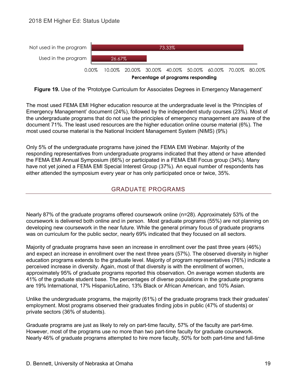

**Figure 19.** Use of the 'Prototype Curriculum for Associates Degrees in Emergency Management'

<span id="page-23-0"></span>The most used FEMA EMI Higher education resource at the undergraduate level is the 'Principles of Emergency Management' document (24%), followed by the independent study courses (23%). Most of the undergraduate programs that do not use the principles of emergency management are aware of the document 71%. The least used resources are the higher education online course material (6%). The most used course material is the National Incident Management System (NIMS) (9%)

Only 5% of the undergraduate programs have joined the FEMA EMI Webinar. Majority of the responding representatives from undergraduate programs indicated that they attend or have attended the FEMA EMI Annual Symposium (66%) or participated in a FEMA EMI Focus group (34%). Many have not yet joined a FEMA EMI Special Interest Group (37%). An equal number of respondents has either attended the symposium every year or has only participated once or twice, 35%.

## GRADUATE PROGRAMS

<span id="page-23-1"></span>Nearly 87% of the graduate programs offered coursework online (n=28). Approximately 53% of the coursework is delivered both online and in person. Most graduate programs (55%) are not planning on developing new coursework in the near future. While the general primary focus of graduate programs was on curriculum for the public sector, nearly 69% indicated that they focused on all sectors.

Majority of graduate programs have seen an increase in enrollment over the past three years (46%) and expect an increase in enrollment over the next three years (57%). The observed diversity in higher education programs extends to the graduate level. Majority of program representatives (76%) indicate a perceived increase in diversity. Again, most of that diversity is with the enrollment of women, approximately 95% of graduate programs reported this observation. On average women students are 41% of the graduate student base. The percentages of diverse populations in the graduate programs are 19% International, 17% Hispanic/Latino, 13% Black or African American, and 10% Asian.

Unlike the undergraduate programs, the majority (61%) of the graduate programs track their graduates' employment. Most programs observed their graduates finding jobs in public (47% of students) or private sectors (36% of students).

Graduate programs are just as likely to rely on part-time faculty, 57% of the faculty are part-time. However, most of the programs use no more than two part-time faculty for graduate coursework. Nearly 46% of graduate programs attempted to hire more faculty, 50% for both part-time and full-time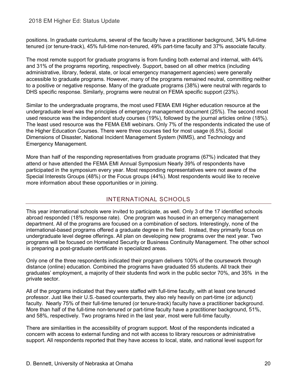positions. In graduate curriculums, several of the faculty have a practitioner background, 34% full-time tenured (or tenure-track), 45% full-time non-tenured, 49% part-time faculty and 37% associate faculty.

The most remote support for graduate programs is from funding both external and internal, with 44% and 31% of the programs reporting, respectively. Support, based on all other metrics (including administrative, library, federal, state, or local emergency management agencies) were generally accessible to graduate programs. However, many of the programs remained neutral, committing neither to a positive or negative response. Many of the graduate programs (38%) were neutral with regards to DHS specific response. Similarly, programs were neutral on FEMA specific support (23%).

Similar to the undergraduate programs, the most used FEMA EMI Higher education resource at the undergraduate level was the principles of emergency management document (25%). The second most used resource was the independent study courses (19%), followed by the journal articles online (18%). The least used resource was the FEMA EMI webinars. Only 7% of the respondents indicated the use of the Higher Education Courses. There were three courses tied for most usage (6.5%), Social Dimensions of Disaster, National Incident Management System (NIMS), and Technology and Emergency Management.

More than half of the responding representatives from graduate programs (67%) indicated that they attend or have attended the FEMA EMI Annual Symposium Nearly 39% of respondents have participated in the symposium every year. Most responding representatives were not aware of the Special Interests Groups (48%) or the Focus groups (44%). Most respondents would like to receive more information about these opportunities or in joining.

#### INTERNATIONAL SCHOOLS

This year international schools were invited to participate, as well. Only 3 of the 17 identified schools abroad responded (18% response rate). One program was housed in an emergency management department. All of the programs are focused on a combination of sectors. Interestingly, none of the international-based programs offered a graduate degree in the field. Instead, they primarily focus on undergraduate level degree offerings. All plan on developing new programs over the next year. Two programs will be focused on Homeland Security or Business Continuity Management. The other school is preparing a post-graduate certificate in specialized areas.

Only one of the three respondents indicated their program delivers 100% of the coursework through distance (online) education. Combined the programs have graduated 55 students. All track their graduates' employment, a majority of their students find work in the public sector 70%, and 35% in the private sector.

All of the programs indicated that they were staffed with full-time faculty, with at least one tenured professor. Just like their U.S.-based counterparts, they also rely heavily on part-time (or adjunct) faculty. Nearly 75% of their full-time tenured (or tenure-track) faculty have a practitioner background. More than half of the full-time non-tenured or part-time faculty have a practitioner background, 51%, and 58%, respectively. Two programs hired in the last year, most were full-time faculty.

There are similarities in the accessibility of program support. Most of the respondents indicated a concern with access to external funding and not with access to library resources or administrative support. All respondents reported that they have access to local, state, and national level support for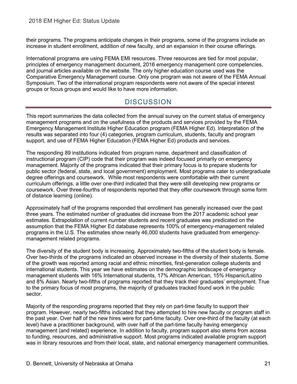their programs. The programs anticipate changes in their programs, some of the programs include an increase in student enrollment, addition of new faculty, and an expansion in their course offerings.

International programs are using FEMA EMI resources. Three resources are tied for most popular, principles of emergency management document, 2016 emergency management core competencies, and journal articles available on the website. The only higher education course used was the Comparative Emergency Management course. Only one program was not aware of the FEMA Annual Symposium. Two of the international program respondents were not aware of the special interest groups or focus groups and would like to have more information.

# **DISCUSSION**

<span id="page-25-0"></span>This report summarizes the data collected from the annual survey on the current status of emergency management programs and on the usefulness of the products and services provided by the FEMA Emergency Management Institute Higher Education program (FEMA Higher Ed). Interpretation of the results was separated into four (4) categories, program curriculum, students, faculty and program support, and use of FEMA Higher Education (FEMA Higher Ed) products and services.

The responding 89 institutions indicated from program name, department and classification of instructional program (CIP) code that their program was indeed focused primarily on emergency management. Majority of the programs indicated that their primary focus is to prepare students for public sector (federal, state, and local government) employment. Most programs cater to undergraduate degree offerings and coursework. While most respondents were comfortable with their current curriculum offerings, a little over one-third indicated that they were still developing new programs or coursework. Over three-fourths of respondents reported that they offer coursework through some form of distance learning (online).

Approximately half of the programs responded that enrollment has generally increased over the past three years. The estimated number of graduates did increase from the 2017 academic school year estimates. Extrapolation of current number students and recent graduates was predicated on the assumption that the FEMA Higher Ed database represents 100% of emergency-management related programs in the U.S. The estimates show nearly 46,000 students have graduated from emergencymanagement related programs.

The diversity of the student body is increasing. Approximately two-fifths of the student body is female. Over two-thirds of the programs indicated an observed increase in the diversity of their students. Some of the growth was reported among racial and ethnic minorities, first-generation college students and international students. This year we have estimates on the demographic landscape of emergency management students with 16% International students, 17% African American, 15% Hispanic/Latino and 8% Asian. Nearly two-fifths of programs reported that they track their graduates' employment. True to the primary focus of most programs, the majority of graduates tracked found work in the public sector.

Majority of the responding programs reported that they rely on part-time faculty to support their program. However, nearly two-fifths indicated that they attempted to hire new faculty or program staff in the past year. Over half of the new hires were for part-time faculty. Over one-third of the faculty (at each level) have a practitioner background, with over half of the part-time faculty having emergency management (and related) experience. In addition to faculty, program support also stems from access to funding, resources, and administrative support. Most programs indicated available program support was in library resources and from their local, state, and national emergency management communities.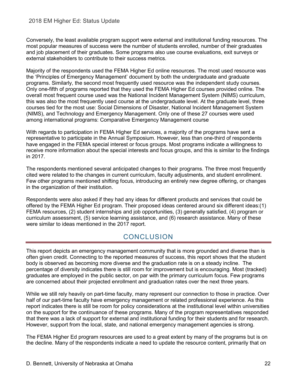#### 2018 EM Higher Ed: Status Update

Conversely, the least available program support were external and institutional funding resources. The most popular measures of success were the number of students enrolled, number of their graduates and job placement of their graduates. Some programs also use course evaluations, exit surveys or external stakeholders to contribute to their success metrics.

Majority of the respondents used the FEMA Higher Ed online resources. The most used resource was the 'Principles of Emergency Management' document by both the undergraduate and graduate programs. Similarly, the second most frequently used resource was the independent study courses. Only one-fifth of programs reported that they used the FEMA Higher Ed courses provided online. The overall most frequent course used was the National Incident Management System (NIMS) curriculum, this was also the most frequently used course at the undergraduate level. At the graduate level, three courses tied for the most use: Social Dimensions of Disaster, National Incident Management System (NIMS), and Technology and Emergency Management. Only one of these 27 courses were used among international programs: Comparative Emergency Management course

With regards to participation in FEMA Higher Ed services, a majority of the programs have sent a representative to participate in the Annual Symposium. However, less than one-third of respondents have engaged in the FEMA special interest or focus groups. Most programs indicate a willingness to receive more information about the special interests and focus groups, and this is similar to the findings in 2017.

The respondents mentioned several anticipated changes to their programs. The three most frequently cited were related to the changes in current curriculum, faculty adjustments, and student enrollment. Few other programs mentioned shifting focus, introducing an entirely new degree offering, or changes in the organization of their institution.

Respondents were also asked if they had any ideas for different products and services that could be offered by the FEMA Higher Ed program. Their proposed ideas centered around six different ideas:(1) FEMA resources, (2) student internships and job opportunities, (3) generally satisfied, (4) program or curriculum assessment, (5) service learning assistance, and (6) research assistance. Many of these were similar to ideas mentioned in the 2017 report.

## **CONCLUSION**

<span id="page-26-0"></span>This report depicts an emergency management community that is more grounded and diverse than is often given credit. Connecting to the reported measures of success, this report shows that the student body is observed as becoming more diverse and the graduation rate is on a steady incline. The percentage of diversity indicates there is still room for improvement but is encouraging. Most (tracked) graduates are employed in the public sector, on par with the primary curriculum focus. Few programs are concerned about their projected enrollment and graduation rates over the next three years.

While we still rely heavily on part-time faculty, many represent our connection to those in practice. Over half of our part-time faculty have emergency management or related professional experience. As this report indicates there is still be room for policy considerations at the institutional level within universities on the support for the continuance of these programs. Many of the program representatives responded that there was a lack of support for external and institutional funding for their students and for research. However, support from the local, state, and national emergency management agencies is strong.

The FEMA Higher Ed program resources are used to a great extent by many of the programs but is on the decline. Many of the respondents indicate a need to update the resource content, primarily that on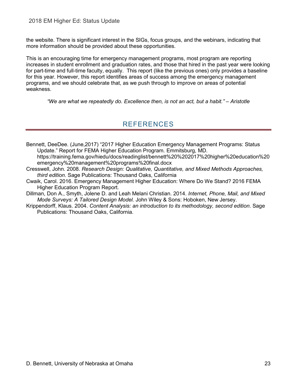the website. There is significant interest in the SIGs, focus groups, and the webinars, indicating that more information should be provided about these opportunities.

This is an encouraging time for emergency management programs, most program are reporting increases in student enrollment and graduation rates, and those that hired in the past year were looking for part-time and full-time faculty, equally. This report (like the previous ones) only provides a baseline for this year. However, this report identifies areas of success among the emergency management programs, and we should celebrate that, as we push through to improve on areas of potential weakness.

<span id="page-27-0"></span>*"We are what we repeatedly do. Excellence then, is not an act, but a habit." – Aristotle*

## REFERENCES

- Bennett, DeeDee. (June,2017) "2017 Higher Education Emergency Management Programs: Status Update." Report for FEMA Higher Education Program. Emmitsburg, MD. https://training.fema.gov/hiedu/docs/readinglist/bennett%20%202017%20higher%20education%20 emergency%20management%20programs%20final.docx
- Cresswell, John. 2008. *Research Design: Qualitative, Quantitative, and Mixed Methods Approaches, third edition*. Sage Publications: Thousand Oaks, California
- Cwaik, Carol. 2016. Emergency Management Higher Education: Where Do We Stand? 2016 FEMA Higher Education Program Report.
- Dillman, Don A., Smyth, Jolene D. and Leah Melani Christian. 2014. *Internet, Phone, Mail, and Mixed Mode Surveys: A Tailored Design Model.* John Wiley & Sons: Hoboken, New Jersey.
- Krippendorff, Klaus. 2004. *Content Analysis: an introduction to its methodology, second edition*. Sage Publications: Thousand Oaks, California.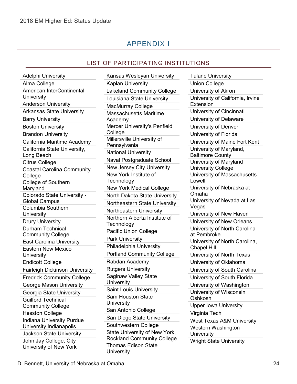## APPENDIX I

#### LIST OF PARTICIPATING INSTITUTIONS

<span id="page-28-1"></span><span id="page-28-0"></span>Adelphi University Alma College American InterContinental **University** Anderson University Arkansas State University Barry University Boston University Brandon University California Maritime Academy California State University, Long Beach Citrus College Coastal Carolina Community **College** College of Southern Maryland Colorado State University - Global Campus Columbia Southern **University** Drury University Durham Technical Community College East Carolina University Eastern New Mexico **University** Endicott College Fairleigh Dickinson University Fredrick Community College George Mason University Georgia State University Guilford Technical Community College Hesston College Indiana University Purdue University Indianapolis Jackson State University John Jay College, City University of New York

Kansas Wesleyan University Kaplan University Lakeland Community College Louisiana State University MacMurray College Massachusetts Maritime Academy Mercer University's Penfield College Millersville University of **Pennsylvania** National University Naval Postgraduate School New Jersey City University New York Institute of **Technology** New York Medical College North Dakota State University Northeastern State University Northeastern University Northern Alberta Institute of **Technology** Pacific Union College Park University Philadelphia University Portland Community College Rabdan Academy Rutgers University Saginaw Valley State **University** Saint Louis University Sam Houston State **University** San Antonio College San Diego State University Southwestern College State University of New York, Rockland Community College Thomas Edison State **University** 

Tulane University Union College University of Akron University of California, Irvine **Extension** University of Cincinnati University of Delaware University of Denver University of Florida University of Maine Fort Kent University of Maryland, Baltimore County University of Maryland University College University of Massachusetts Lowell University of Nebraska at Omaha University of Nevada at Las Vegas University of New Haven University of New Orleans University of North Carolina at Pembroke University of North Carolina, Chapel Hill University of North Texas University of Oklahoma University of South Carolina University of South Florida University of Washington University of Wisconsin Oshkosh Upper Iowa University Virginia Tech West Texas A&M University Western Washington **University** Wright State University